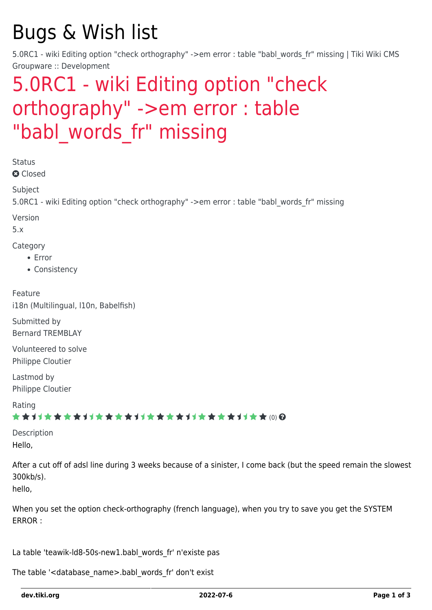# Bugs & Wish list

5.0RC1 - wiki Editing option "check orthography" ->em error : table "babl words fr" missing | Tiki Wiki CMS Groupware :: Development

## [5.0RC1 - wiki Editing option "check](https://dev.tiki.org/item3509-5-0RC1-wiki-Editing-option-check-orthography-em-error-table-babl_words_fr-missing) [orthography" ->em error : table](https://dev.tiki.org/item3509-5-0RC1-wiki-Editing-option-check-orthography-em-error-table-babl_words_fr-missing) "babl words fr" missing

**Status** 

**Q** Closed

Subject

5.0RC1 - wiki Editing option "check orthography" ->em error : table "babl words fr" missing

Version

5.x

Category

- Error
- Consistency

Feature i18n (Multilingual, l10n, Babelfish)

Submitted by Bernard TREMBLAY

Volunteered to solve Philippe Cloutier

Lastmod by Philippe Cloutier

Rating

### ★★11★★★★11★★★★11★★★★11★★★★+11★★ @@

Description Hello,

After a cut off of adsl line during 3 weeks because of a sinister, I come back (but the speed remain the slowest 300kb/s).

hello,

When you set the option check-orthography (french language), when you try to save you get the SYSTEM ERROR :

La table 'teawik-ld8-50s-new1.babl\_words\_fr' n'existe pas

The table '<database\_name>.babl\_words\_fr' don't exist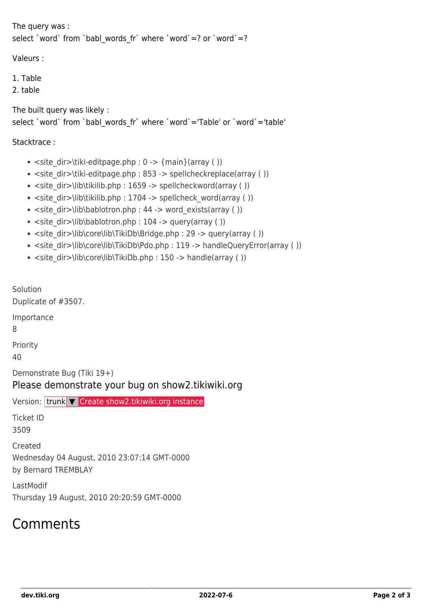```
The query was :
select `word` from `babl_words_fr` where `word`=? or `word`=?
```
Valeurs :

1. Table

2. table

The built query was likely : select `word` from `babl\_words\_fr` where `word`='Table' or `word`='table'

#### Stacktrace :

- $\text{size}$  dir > \tiki-editpage.php : 0 > {main}(array ( ))
- $\bullet$  <site\_dir>\tiki-editpage.php : 853 -> spellcheckreplace(array ( ))
- $\bullet$  <site dir>\lib\tikilib.php : 1659 -> spellcheckword(array ( ))
- $\bullet$  <site dir>\lib\tikilib.php : 1704 -> spellcheck word(array ( ))
- $\bullet$  <site\_dir>\lib\bablotron.php : 44 -> word\_exists(array ( ))
- $\bullet$  <site dir>\lib\bablotron.php : 104 -> query(array ( ))
- $\bullet$  <site\_dir>\lib\core\lib\TikiDb\Bridge.php : 29 -> query(array ( ))
- $\bullet$  <site\_dir>\lib\core\lib\TikiDb\Pdo.php : 119 -> handleQueryError(array ( ))
- $\bullet$  <site\_dir>\lib\core\lib\TikiDb.php : 150 -> handle(array ( ))

Solution Duplicate of #3507.

Importance

8

Priority

40

Demonstrate Bug (Tiki 19+)

#### Please demonstrate your bug on show2.tikiwiki.org

Version: trunk ▼ [Create show2.tikiwiki.org instance](#page--1-0)

Ticket ID 3509

Created Wednesday 04 August, 2010 23:07:14 GMT-0000 by Bernard TREMBLAY

LastModif Thursday 19 August, 2010 20:20:59 GMT-0000

### Comments